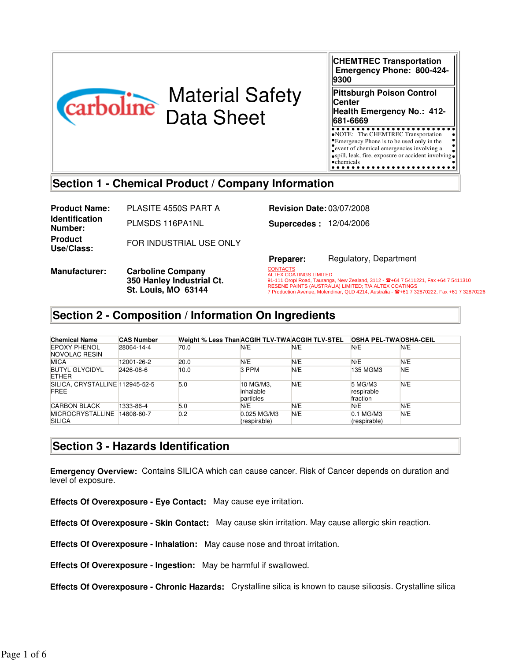

# Material Safety Data Sheet

**CHEMTREC Transportation Emergency Phone: 800-424- 9300 Pittsburgh Poison Control Center Health Emergency No.: 412- 681-6669** NOTE: The CHEMTREC Transportation Emergency Phone is to be used only in the Emergency Phone is to be used only in the<br>sevent of chemical emergencies involving a

spill, leak, fire, exposure or accident involving chemicals<br>••••••••••••••••••••••••••••

**Section 1 - Chemical Product / Company Information**

**Product Name:** PLASITE 4550S PART A **Revision Date:** 03/07/2008 **Identification Number:** PLMSDS 116PA1NL **Supercedes :** 12/04/2006 **Product FOR INDUSTRIAL USE ONLY** 

**Manufacturer: Carboline Company** 

**Preparer:** Regulatory, Department

.<br>91-111 Oropi Road, Tauranga, New Zealand, 3112 - ☎+64 7 5411221, Fax +64 7 5411310<br>ВЕЯЕМЕ ВАІМТЯ (АНЯТРАНА) НАШТЕР: Т/А АНТЕХ СОАТІМСЯ **CONTACTS** ALTEX COATINGS LIMITED RESENE PAINTS (AUSTRALIA) LIMITED; T/A ALTEX COATINGS<br>7 Production Avenue, Molendinar, QLD 4214, Australia - 曾+61 7 32870222, Fax +61 7 32870226

## **Section 2 - Composition / Information On Ingredients**

**350 Hanley Industrial Ct. St. Louis, MO 63144**

| <b>Chemical Name</b>                           | <b>CAS Number</b> | Weight % Less Than ACGIH TLV-TWA ACGIH TLV-STEL |                                     |     | <b>OSHA PEL-TWAOSHA-CEIL</b>      |           |
|------------------------------------------------|-------------------|-------------------------------------------------|-------------------------------------|-----|-----------------------------------|-----------|
| EPOXY PHENOL<br>NOVOLAC RESIN                  | 28064-14-4        | 70.0                                            | N/E                                 | N/E | N/E                               | N/E       |
| <b>MICA</b>                                    | 12001-26-2        | 20.0                                            | N/E                                 | N/E | N/E                               | N/E       |
| <b>BUTYL GLYCIDYL</b><br><b>ETHER</b>          | 2426-08-6         | 10.0                                            | 3 PPM                               | N/E | 135 MGM3                          | <b>NE</b> |
| SILICA. CRYSTALLINE 112945-52-5<br><b>FREE</b> |                   | 5.0                                             | 10 MG/M3.<br>inhalable<br>particles | N/E | 5 MG/M3<br>respirable<br>fraction | N/E       |
| <b>CARBON BLACK</b>                            | 1333-86-4         | 5.0                                             | N/E                                 | N/E | N/E                               | N/E       |
| <b>MICROCRYSTALLINE</b><br><b>SILICA</b>       | 14808-60-7        | 0.2                                             | 0.025 MG/M3<br>(respirable)         | N/E | 0.1 MG/M3<br>(respirable)         | N/E       |

### **Section 3 - Hazards Identification**

**Emergency Overview:** Contains SILICA which can cause cancer. Risk of Cancer depends on duration and level of exposure.

**Effects Of Overexposure - Eye Contact:** May cause eye irritation.

**Effects Of Overexposure - Skin Contact:** May cause skin irritation. May cause allergic skin reaction.

**Effects Of Overexposure - Inhalation:** May cause nose and throat irritation.

**Effects Of Overexposure - Ingestion:** May be harmful if swallowed.

**Effects Of Overexposure - Chronic Hazards:** Crystalline silica is known to cause silicosis. Crystalline silica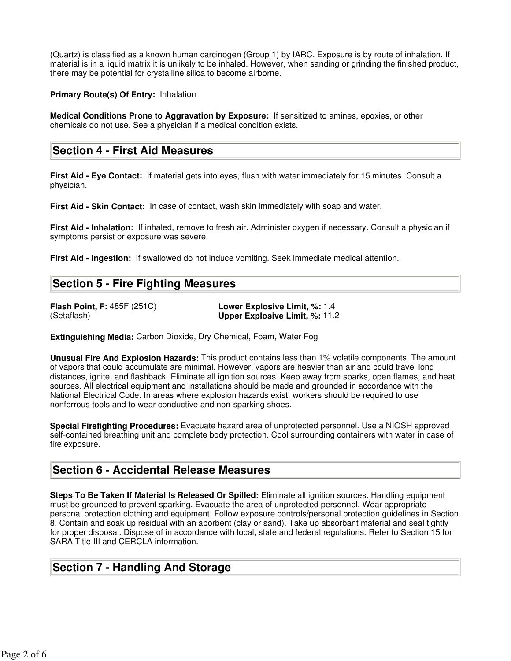(Quartz) is classified as a known human carcinogen (Group 1) by IARC. Exposure is by route of inhalation. If material is in a liquid matrix it is unlikely to be inhaled. However, when sanding or grinding the finished product, there may be potential for crystalline silica to become airborne.

**Primary Route(s) Of Entry:** Inhalation

**Medical Conditions Prone to Aggravation by Exposure:** If sensitized to amines, epoxies, or other chemicals do not use. See a physician if a medical condition exists.

### **Section 4 - First Aid Measures**

**First Aid - Eye Contact:** If material gets into eyes, flush with water immediately for 15 minutes. Consult a physician.

**First Aid - Skin Contact:** In case of contact, wash skin immediately with soap and water.

**First Aid - Inhalation:** If inhaled, remove to fresh air. Administer oxygen if necessary. Consult a physician if symptoms persist or exposure was severe.

**First Aid - Ingestion:** If swallowed do not induce vomiting. Seek immediate medical attention.

### **Section 5 - Fire Fighting Measures**

**Flash Point, F:** 485F (251C) **Lower Explosive Limit, %:** 1.4 **Upper Explosive Limit, %: 11.2** 

**Extinguishing Media:** Carbon Dioxide, Dry Chemical, Foam, Water Fog

**Unusual Fire And Explosion Hazards:** This product contains less than 1% volatile components. The amount of vapors that could accumulate are minimal. However, vapors are heavier than air and could travel long distances, ignite, and flashback. Eliminate all ignition sources. Keep away from sparks, open flames, and heat sources. All electrical equipment and installations should be made and grounded in accordance with the National Electrical Code. In areas where explosion hazards exist, workers should be required to use nonferrous tools and to wear conductive and non-sparking shoes.

**Special Firefighting Procedures:** Evacuate hazard area of unprotected personnel. Use a NIOSH approved self-contained breathing unit and complete body protection. Cool surrounding containers with water in case of fire exposure.

### **Section 6 - Accidental Release Measures**

**Steps To Be Taken If Material Is Released Or Spilled:** Eliminate all ignition sources. Handling equipment must be grounded to prevent sparking. Evacuate the area of unprotected personnel. Wear appropriate personal protection clothing and equipment. Follow exposure controls/personal protection guidelines in Section 8. Contain and soak up residual with an aborbent (clay or sand). Take up absorbant material and seal tightly for proper disposal. Dispose of in accordance with local, state and federal regulations. Refer to Section 15 for SARA Title III and CERCLA information.

### **Section 7 - Handling And Storage**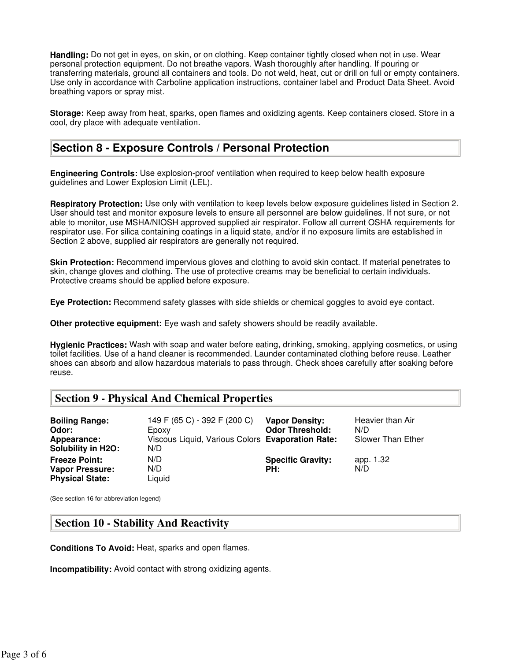**Handling:** Do not get in eyes, on skin, or on clothing. Keep container tightly closed when not in use. Wear personal protection equipment. Do not breathe vapors. Wash thoroughly after handling. If pouring or transferring materials, ground all containers and tools. Do not weld, heat, cut or drill on full or empty containers. Use only in accordance with Carboline application instructions, container label and Product Data Sheet. Avoid breathing vapors or spray mist.

**Storage:** Keep away from heat, sparks, open flames and oxidizing agents. Keep containers closed. Store in a cool, dry place with adequate ventilation.

### **Section 8 - Exposure Controls / Personal Protection**

**Engineering Controls:** Use explosion-proof ventilation when required to keep below health exposure guidelines and Lower Explosion Limit (LEL).

**Respiratory Protection:** Use only with ventilation to keep levels below exposure guidelines listed in Section 2. User should test and monitor exposure levels to ensure all personnel are below guidelines. If not sure, or not able to monitor, use MSHA/NIOSH approved supplied air respirator. Follow all current OSHA requirements for respirator use. For silica containing coatings in a liquid state, and/or if no exposure limits are established in Section 2 above, supplied air respirators are generally not required.

**Skin Protection:** Recommend impervious gloves and clothing to avoid skin contact. If material penetrates to skin, change gloves and clothing. The use of protective creams may be beneficial to certain individuals. Protective creams should be applied before exposure.

**Eye Protection:** Recommend safety glasses with side shields or chemical goggles to avoid eye contact.

**Other protective equipment:** Eye wash and safety showers should be readily available.

**Hygienic Practices:** Wash with soap and water before eating, drinking, smoking, applying cosmetics, or using toilet facilities. Use of a hand cleaner is recommended. Launder contaminated clothing before reuse. Leather shoes can absorb and allow hazardous materials to pass through. Check shoes carefully after soaking before reuse.

### **Section 9 - Physical And Chemical Properties**

| <b>Boiling Range:</b><br>Odor:<br>Appearance:<br><b>Solubility in H2O:</b> | 149 F (65 C) - 392 F (200 C)<br>Epoxy<br>Viscous Liquid, Various Colors Evaporation Rate:<br>N/D | <b>Vapor Density:</b><br><b>Odor Threshold:</b> | Heavier than Air<br>N/D<br>Slower Than Ether |
|----------------------------------------------------------------------------|--------------------------------------------------------------------------------------------------|-------------------------------------------------|----------------------------------------------|
| <b>Freeze Point:</b><br><b>Vapor Pressure:</b><br><b>Physical State:</b>   | N/D<br>N/D<br>Liquid                                                                             | <b>Specific Gravity:</b><br>PH:                 | app. 1.32<br>N/D                             |

(See section 16 for abbreviation legend)

### **Section 10 - Stability And Reactivity**

**Conditions To Avoid:** Heat, sparks and open flames.

**Incompatibility:** Avoid contact with strong oxidizing agents.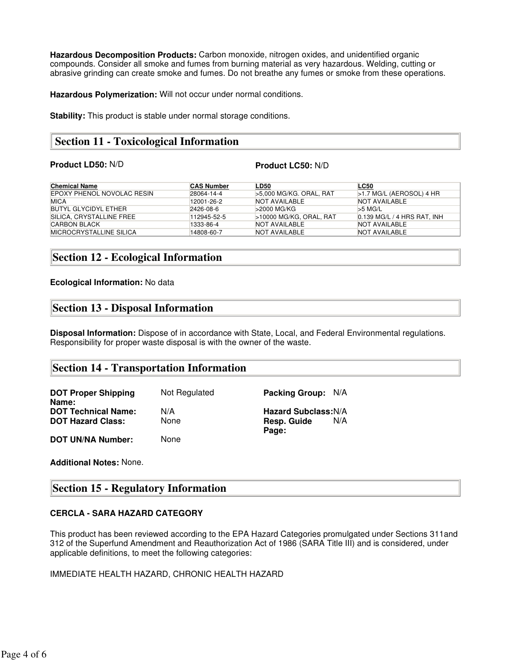**Hazardous Decomposition Products:** Carbon monoxide, nitrogen oxides, and unidentified organic compounds. Consider all smoke and fumes from burning material as very hazardous. Welding, cutting or abrasive grinding can create smoke and fumes. Do not breathe any fumes or smoke from these operations.

**Hazardous Polymerization:** Will not occur under normal conditions.

**Stability:** This product is stable under normal storage conditions.

### **Section 11 - Toxicological Information**

#### **Product LD50:** N/D **Product LC50:** N/D

| <b>Chemical Name</b>        | <b>CAS Number</b> | <b>LD50</b>               | <b>LC50</b>                 |
|-----------------------------|-------------------|---------------------------|-----------------------------|
| EPOXY PHENOL NOVOLAC RESIN  | 28064-14-4        | $>5,000$ MG/KG. ORAL, RAT | $>1.7$ MG/L (AEROSOL) 4 HR  |
| <b>MICA</b>                 | 12001-26-2        | NOT AVAILABLE             | NOT AVAILABLE               |
| <b>BUTYL GLYCIDYL ETHER</b> | 2426-08-6         | $>$ 2000 MG/KG            | $>5$ MG/L                   |
| SILICA. CRYSTALLINE FREE    | 112945-52-5       | >10000 MG/KG, ORAL, RAT   | 0.139 MG/L / 4 HRS RAT, INH |
| <b>CARBON BLACK</b>         | 1333-86-4         | NOT AVAILABLE             | NOT AVAILABLE               |
| MICROCRYSTALLINE SILICA     | 14808-60-7        | NOT AVAILABLE             | NOT AVAILABLE               |

### **Section 12 - Ecological Information**

#### **Ecological Information:** No data

### **Section 13 - Disposal Information**

**Disposal Information:** Dispose of in accordance with State, Local, and Federal Environmental regulations. Responsibility for proper waste disposal is with the owner of the waste.

### **Section 14 - Transportation Information**

**DOT Proper Shipping Name:** Not Regulated **Packing Group:** N/A **DOT Technical Name:** N/A **Hazard Subclass:**N/A **DOT Hazard Class:** Mone **Resp. Guide Resp. Guide Page:** N/A **DOT UN/NA Number:** None

**Additional Notes:** None.

### **Section 15 - Regulatory Information**

#### **CERCLA - SARA HAZARD CATEGORY**

This product has been reviewed according to the EPA Hazard Categories promulgated under Sections 311and 312 of the Superfund Amendment and Reauthorization Act of 1986 (SARA Title III) and is considered, under applicable definitions, to meet the following categories:

IMMEDIATE HEALTH HAZARD, CHRONIC HEALTH HAZARD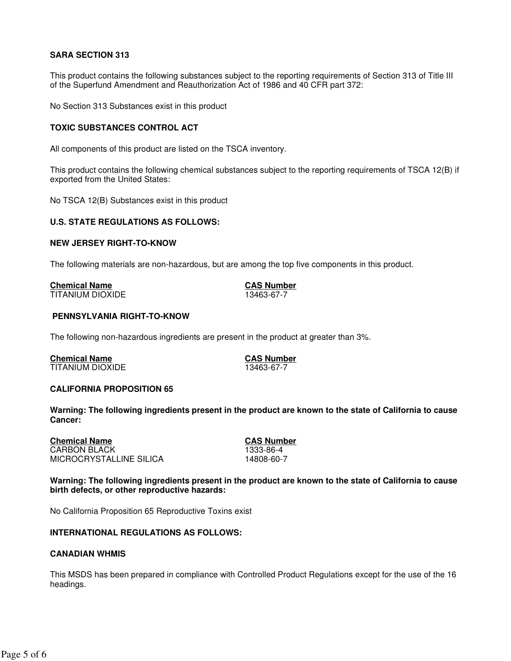### **SARA SECTION 313**

This product contains the following substances subject to the reporting requirements of Section 313 of Title III of the Superfund Amendment and Reauthorization Act of 1986 and 40 CFR part 372:

No Section 313 Substances exist in this product

#### **TOXIC SUBSTANCES CONTROL ACT**

All components of this product are listed on the TSCA inventory.

This product contains the following chemical substances subject to the reporting requirements of TSCA 12(B) if exported from the United States:

No TSCA 12(B) Substances exist in this product

#### **U.S. STATE REGULATIONS AS FOLLOWS:**

#### **NEW JERSEY RIGHT-TO-KNOW**

The following materials are non-hazardous, but are among the top five components in this product.

| <b>Chemical Name</b> |  |  |
|----------------------|--|--|
| TITANIUM DIOXIDE     |  |  |

**CAS Number**<br>13463-67-7

### **PENNSYLVANIA RIGHT-TO-KNOW**

The following non-hazardous ingredients are present in the product at greater than 3%.

**Chemical Name CAS Number** TITANIUM DIOXIDE

#### **CALIFORNIA PROPOSITION 65**

**Warning: The following ingredients present in the product are known to the state of California to cause Cancer:**

**Chemical Name CAS Number** CARBON BLACK 1333-86-4 MICROCRYSTALLINE SILICA

**Warning: The following ingredients present in the product are known to the state of California to cause birth defects, or other reproductive hazards:**

No California Proposition 65 Reproductive Toxins exist

#### **INTERNATIONAL REGULATIONS AS FOLLOWS:**

#### **CANADIAN WHMIS**

This MSDS has been prepared in compliance with Controlled Product Regulations except for the use of the 16 headings.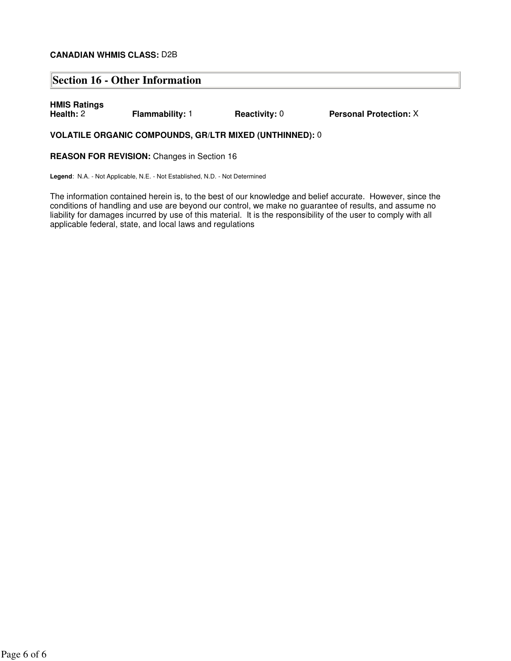#### **CANADIAN WHMIS CLASS:** D2B

### **Section 16 - Other Information**

# **HMIS Ratings**

**Flammability: 1 Reactivity: 0 Personal Protection:**  $X$ 

### **VOLATILE ORGANIC COMPOUNDS, GR/LTR MIXED (UNTHINNED):** 0

**REASON FOR REVISION:** Changes in Section 16

**Legend**: N.A. - Not Applicable, N.E. - Not Established, N.D. - Not Determined

The information contained herein is, to the best of our knowledge and belief accurate. However, since the conditions of handling and use are beyond our control, we make no guarantee of results, and assume no liability for damages incurred by use of this material. It is the responsibility of the user to comply with all applicable federal, state, and local laws and regulations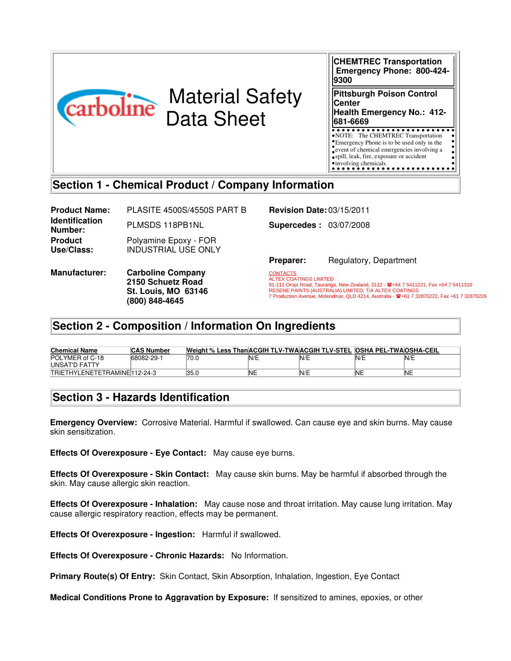|                                                          | <b>CHEMTREC Transportation</b><br>Emergency Phone: 800-424-<br>9300                                                                                                                                        |  |  |
|----------------------------------------------------------|------------------------------------------------------------------------------------------------------------------------------------------------------------------------------------------------------------|--|--|
| <b>Material Safety</b><br>carboline<br><b>Data Sheet</b> | <b>Pittsburgh Poison Control</b><br><b>Center</b><br>Health Emergency No.: 412-<br>681-6669                                                                                                                |  |  |
|                                                          | • NOTE: The CHEMTREC Transportation<br><b>*Emergency Phone</b> is to be used only in the<br>event of chemical emergencies involving a<br>• spill, leak, fire, exposure or accident<br>•involving chemicals |  |  |
| Section 1 - Chemical Product / Company Information       |                                                                                                                                                                                                            |  |  |
| DI ACITE <i>AENNO IAEEN</i> O DADT D<br>Droduat Namor    | Dovision $D^{4}$ $(0)$ /15/0011                                                                                                                                                                            |  |  |

**Product Name:** PLASITE 4500S/4550S PART B **Revision Date:** 03/15/2011 **Identification Number:** PLMSDS 118PB1NL **Supercedes :** 03/07/2008 **Product Use/Class:** Polyamine Epoxy - FOR INDUSTRIAL USE ONLY

**Manufacturer: Carboline Company 2150 Schuetz Road St. Louis, MO 63146 (800) 848-4645**

**Preparer:** Regulatory, Department

91-111 Oropi Road, Tauranga, New Zealand, 3112 - 雪+64 7 5411221, Fax +64 7 5411310<br>RESENE PAINTS (AUSTRALIA) LIMITED; T/A ALTEX COATINGS<br>7 Production Avenue, Molendinar, QLD 4214, Australia - 雪+61 7 32870222, Fax +61 7 32 **CONTACTS** ALTEX COATINGS LIMITED

### **Section 2 - Composition / Information On Ingredients**

| <b>Chemical Name</b>         | <b>CAS Number</b> | Weight % Less Than ACGIH TLV-TWA ACGIH TLV-STEL OSHA PEL-TWA OSHA-CEIL |           |            |     |     |
|------------------------------|-------------------|------------------------------------------------------------------------|-----------|------------|-----|-----|
| POLYMER of C-18              | 68082-29-1        | 70.0                                                                   | 'N/E      | <b>N/E</b> | N/E | N/E |
| UNSAT'D FATTY                |                   |                                                                        |           |            |     |     |
| TRIETHYLENETETRAMINE112-24-3 |                   | 35.0                                                                   | <b>NE</b> | N/E        | 'NE | 'NE |

### **Section 3 - Hazards Identification**

**Emergency Overview:** Corrosive Material. Harmful if swallowed. Can cause eye and skin burns. May cause skin sensitization.

**Effects Of Overexposure - Eye Contact:** May cause eye burns.

**Effects Of Overexposure - Skin Contact:** May cause skin burns. May be harmful if absorbed through the skin. May cause allergic skin reaction.

**Effects Of Overexposure - Inhalation:** May cause nose and throat irritation. May cause lung irritation. May cause allergic respiratory reaction, effects may be permanent.

**Effects Of Overexposure - Ingestion:** Harmful if swallowed.

**Effects Of Overexposure - Chronic Hazards:** No Information.

**Primary Route(s) Of Entry:** Skin Contact, Skin Absorption, Inhalation, Ingestion, Eye Contact

**Medical Conditions Prone to Aggravation by Exposure:** If sensitized to amines, epoxies, or other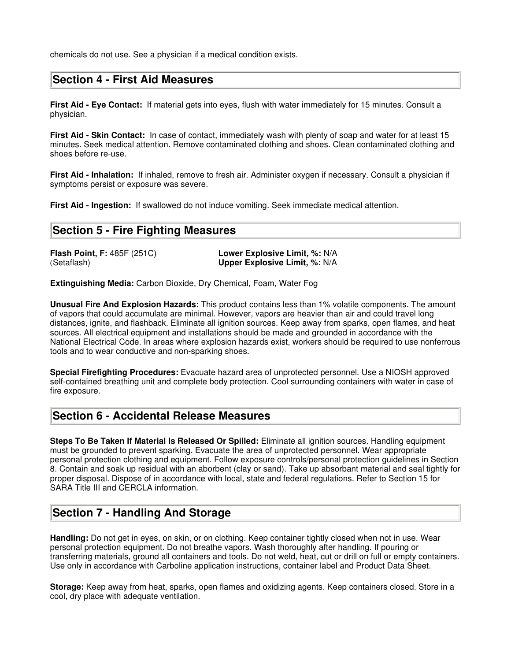chemicals do not use. See a physician if a medical condition exists.

### **Section 4 - First Aid Measures**

**First Aid - Eye Contact:** If material gets into eyes, flush with water immediately for 15 minutes. Consult a physician.

**First Aid - Skin Contact:** In case of contact, immediately wash with plenty of soap and water for at least 15 minutes. Seek medical attention. Remove contaminated clothing and shoes. Clean contaminated clothing and shoes before re-use.

**First Aid - Inhalation:** If inhaled, remove to fresh air. Administer oxygen if necessary. Consult a physician if symptoms persist or exposure was severe.

**First Aid - Ingestion:** If swallowed do not induce vomiting. Seek immediate medical attention.

### **Section 5 - Fire Fighting Measures**

**Flash Point, F:** 485F (251C) **Lower Explosive Limit, %:** N/A **Upper Explosive Limit, %: N/A** 

**Extinguishing Media:** Carbon Dioxide, Dry Chemical, Foam, Water Fog

**Unusual Fire And Explosion Hazards:** This product contains less than 1% volatile components. The amount of vapors that could accumulate are minimal. However, vapors are heavier than air and could travel long distances, ignite, and flashback. Eliminate all ignition sources. Keep away from sparks, open flames, and heat sources. All electrical equipment and installations should be made and grounded in accordance with the National Electrical Code. In areas where explosion hazards exist, workers should be required to use nonferrous tools and to wear conductive and non-sparking shoes.

**Special Firefighting Procedures:** Evacuate hazard area of unprotected personnel. Use a NIOSH approved self-contained breathing unit and complete body protection. Cool surrounding containers with water in case of fire exposure.

### **Section 6 - Accidental Release Measures**

**Steps To Be Taken If Material Is Released Or Spilled:** Eliminate all ignition sources. Handling equipment must be grounded to prevent sparking. Evacuate the area of unprotected personnel. Wear appropriate personal protection clothing and equipment. Follow exposure controls/personal protection guidelines in Section 8. Contain and soak up residual with an aborbent (clay or sand). Take up absorbant material and seal tightly for proper disposal. Dispose of in accordance with local, state and federal regulations. Refer to Section 15 for SARA Title III and CERCLA information.

### **Section 7 - Handling And Storage**

**Handling:** Do not get in eyes, on skin, or on clothing. Keep container tightly closed when not in use. Wear personal protection equipment. Do not breathe vapors. Wash thoroughly after handling. If pouring or transferring materials, ground all containers and tools. Do not weld, heat, cut or drill on full or empty containers. Use only in accordance with Carboline application instructions, container label and Product Data Sheet.

**Storage:** Keep away from heat, sparks, open flames and oxidizing agents. Keep containers closed. Store in a cool, dry place with adequate ventilation.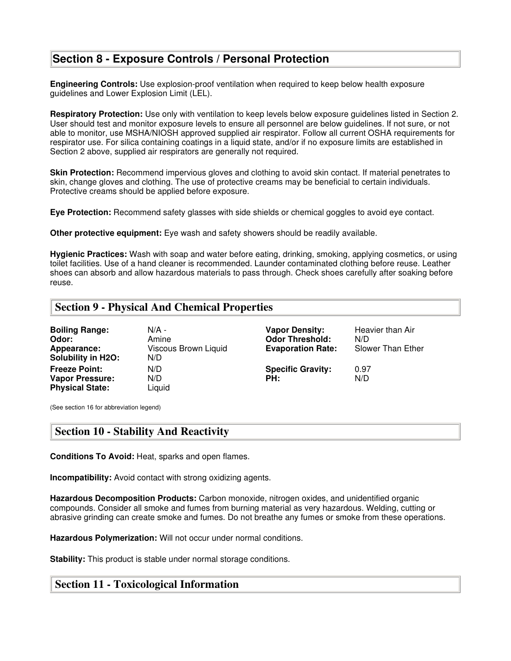### **Section 8 - Exposure Controls / Personal Protection**

**Engineering Controls:** Use explosion-proof ventilation when required to keep below health exposure guidelines and Lower Explosion Limit (LEL).

**Respiratory Protection:** Use only with ventilation to keep levels below exposure guidelines listed in Section 2. User should test and monitor exposure levels to ensure all personnel are below guidelines. If not sure, or not able to monitor, use MSHA/NIOSH approved supplied air respirator. Follow all current OSHA requirements for respirator use. For silica containing coatings in a liquid state, and/or if no exposure limits are established in Section 2 above, supplied air respirators are generally not required.

**Skin Protection:** Recommend impervious gloves and clothing to avoid skin contact. If material penetrates to skin, change gloves and clothing. The use of protective creams may be beneficial to certain individuals. Protective creams should be applied before exposure.

**Eye Protection:** Recommend safety glasses with side shields or chemical goggles to avoid eye contact.

**Other protective equipment:** Eye wash and safety showers should be readily available.

**Hygienic Practices:** Wash with soap and water before eating, drinking, smoking, applying cosmetics, or using toilet facilities. Use of a hand cleaner is recommended. Launder contaminated clothing before reuse. Leather shoes can absorb and allow hazardous materials to pass through. Check shoes carefully after soaking before reuse.

### **Section 9 - Physical And Chemical Properties**

| <b>Boiling Range:</b><br>Odor:<br>Appearance:<br><b>Solubility in H2O:</b> | N/A -<br>Amine<br>Viscous Brown Liquid<br>N/D | <b>Vapor Density:</b><br><b>Odor Threshold:</b><br><b>Evaporation Rate:</b> | Heavier than Air<br>N/D<br>Slower Than Ether |
|----------------------------------------------------------------------------|-----------------------------------------------|-----------------------------------------------------------------------------|----------------------------------------------|
| <b>Freeze Point:</b><br><b>Vapor Pressure:</b><br><b>Physical State:</b>   | N/D<br>N/D<br>Liquid                          | <b>Specific Gravity:</b><br>PH:                                             | 0.97<br>N/D                                  |

(See section 16 for abbreviation legend)

### **Section 10 - Stability And Reactivity**

**Conditions To Avoid:** Heat, sparks and open flames.

**Incompatibility:** Avoid contact with strong oxidizing agents.

**Hazardous Decomposition Products:** Carbon monoxide, nitrogen oxides, and unidentified organic compounds. Consider all smoke and fumes from burning material as very hazardous. Welding, cutting or abrasive grinding can create smoke and fumes. Do not breathe any fumes or smoke from these operations.

**Hazardous Polymerization:** Will not occur under normal conditions.

**Stability:** This product is stable under normal storage conditions.

### **Section 11 - Toxicological Information**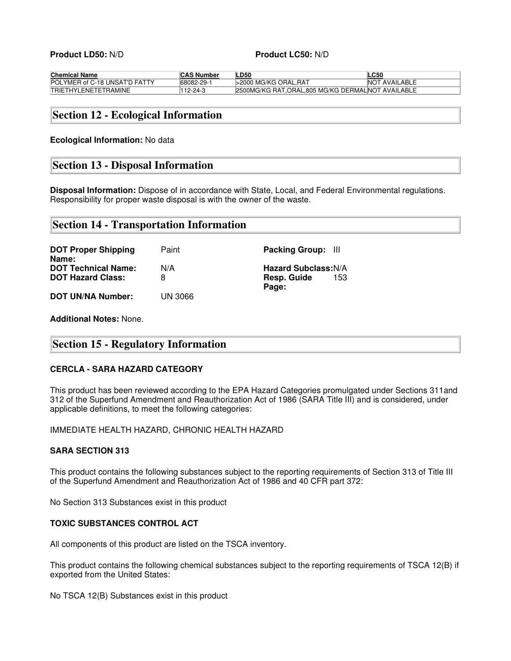#### **Product LD50:** N/D **Product LC50:** N/D

| <b>Chemical Name</b>          | <b>CAS Number</b> | LD50                                              | <b>LC50</b>          |
|-------------------------------|-------------------|---------------------------------------------------|----------------------|
| POLYMER of C-18 UNSAT'D FATTY | <b>68082-29-1</b> | >2000 MG/KG ORAL.RAT                              | <b>NOT AVAILABLE</b> |
| <b>TRIETHYLENETETRAMINE</b>   | 112-24-3          | 2500MG/KG RAT.ORAL.805 MG/KG DERMALINOT AVAILABLE |                      |

### **Section 12 - Ecological Information**

#### **Ecological Information:** No data

### **Section 13 - Disposal Information**

**Disposal Information:** Dispose of in accordance with State, Local, and Federal Environmental regulations. Responsibility for proper waste disposal is with the owner of the waste.

| <b>Section 14 - Transportation Information</b> |  |
|------------------------------------------------|--|
|------------------------------------------------|--|

| <b>DOT Proper Shipping</b><br>Name:                    | Paint          | Packing Group: III                                |
|--------------------------------------------------------|----------------|---------------------------------------------------|
| <b>DOT Technical Name:</b><br><b>DOT Hazard Class:</b> | N/A<br>8       | <b>Hazard Subclass: N/A</b><br>Resp. Guide<br>153 |
|                                                        |                | Page:                                             |
| <b>DOT UN/NA Number:</b>                               | <b>UN 3066</b> |                                                   |

**Additional Notes:** None.

### **Section 15 - Regulatory Information**

#### **CERCLA - SARA HAZARD CATEGORY**

This product has been reviewed according to the EPA Hazard Categories promulgated under Sections 311and 312 of the Superfund Amendment and Reauthorization Act of 1986 (SARA Title III) and is considered, under applicable definitions, to meet the following categories:

IMMEDIATE HEALTH HAZARD, CHRONIC HEALTH HAZARD

### **SARA SECTION 313**

This product contains the following substances subject to the reporting requirements of Section 313 of Title III of the Superfund Amendment and Reauthorization Act of 1986 and 40 CFR part 372:

No Section 313 Substances exist in this product

### **TOXIC SUBSTANCES CONTROL ACT**

All components of this product are listed on the TSCA inventory.

This product contains the following chemical substances subject to the reporting requirements of TSCA 12(B) if exported from the United States:

No TSCA 12(B) Substances exist in this product